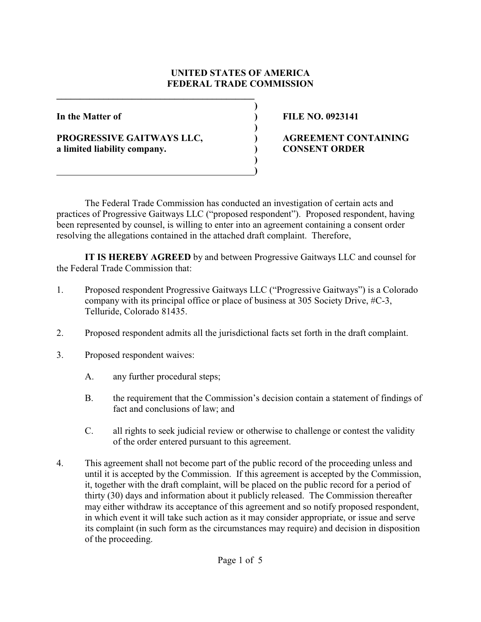## **UNITED STATES OF AMERICA FEDERAL TRADE COMMISSION**

**)**

**)**

**)**

**PROGRESSIVE GAITWAYS LLC, ) AGREEMENT CONTAINING a limited liability company. ) CONSENT ORDER**

**\_\_\_\_\_\_\_\_\_\_\_\_\_\_\_\_\_\_\_\_\_\_\_\_\_\_\_\_\_\_\_\_\_\_\_\_\_\_\_\_\_\_**

 **)**

**In the Matter of ) FILE NO. 0923141**

The Federal Trade Commission has conducted an investigation of certain acts and practices of Progressive Gaitways LLC ("proposed respondent"). Proposed respondent, having been represented by counsel, is willing to enter into an agreement containing a consent order resolving the allegations contained in the attached draft complaint. Therefore,

**IT IS HEREBY AGREED** by and between Progressive Gaitways LLC and counsel for the Federal Trade Commission that:

- 1. Proposed respondent Progressive Gaitways LLC ("Progressive Gaitways") is a Colorado company with its principal office or place of business at 305 Society Drive, #C-3, Telluride, Colorado 81435.
- 2. Proposed respondent admits all the jurisdictional facts set forth in the draft complaint.
- 3. Proposed respondent waives:
	- A. any further procedural steps;
	- B. the requirement that the Commission's decision contain a statement of findings of fact and conclusions of law; and
	- C. all rights to seek judicial review or otherwise to challenge or contest the validity of the order entered pursuant to this agreement.
- 4. This agreement shall not become part of the public record of the proceeding unless and until it is accepted by the Commission. If this agreement is accepted by the Commission, it, together with the draft complaint, will be placed on the public record for a period of thirty (30) days and information about it publicly released. The Commission thereafter may either withdraw its acceptance of this agreement and so notify proposed respondent, in which event it will take such action as it may consider appropriate, or issue and serve its complaint (in such form as the circumstances may require) and decision in disposition of the proceeding.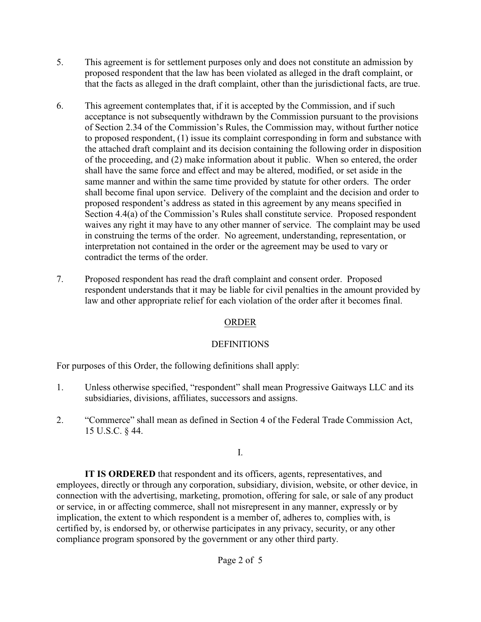- 5. This agreement is for settlement purposes only and does not constitute an admission by proposed respondent that the law has been violated as alleged in the draft complaint, or that the facts as alleged in the draft complaint, other than the jurisdictional facts, are true.
- 6. This agreement contemplates that, if it is accepted by the Commission, and if such acceptance is not subsequently withdrawn by the Commission pursuant to the provisions of Section 2.34 of the Commission's Rules, the Commission may, without further notice to proposed respondent, (1) issue its complaint corresponding in form and substance with the attached draft complaint and its decision containing the following order in disposition of the proceeding, and (2) make information about it public. When so entered, the order shall have the same force and effect and may be altered, modified, or set aside in the same manner and within the same time provided by statute for other orders. The order shall become final upon service. Delivery of the complaint and the decision and order to proposed respondent's address as stated in this agreement by any means specified in Section 4.4(a) of the Commission's Rules shall constitute service. Proposed respondent waives any right it may have to any other manner of service. The complaint may be used in construing the terms of the order. No agreement, understanding, representation, or interpretation not contained in the order or the agreement may be used to vary or contradict the terms of the order.
- 7. Proposed respondent has read the draft complaint and consent order. Proposed respondent understands that it may be liable for civil penalties in the amount provided by law and other appropriate relief for each violation of the order after it becomes final.

# ORDER

# DEFINITIONS

For purposes of this Order, the following definitions shall apply:

- 1. Unless otherwise specified, "respondent" shall mean Progressive Gaitways LLC and its subsidiaries, divisions, affiliates, successors and assigns.
- 2. "Commerce" shall mean as defined in Section 4 of the Federal Trade Commission Act, 15 U.S.C. § 44.

I.

**IT IS ORDERED** that respondent and its officers, agents, representatives, and employees, directly or through any corporation, subsidiary, division, website, or other device, in connection with the advertising, marketing, promotion, offering for sale, or sale of any product or service, in or affecting commerce, shall not misrepresent in any manner, expressly or by implication, the extent to which respondent is a member of, adheres to, complies with, is certified by, is endorsed by, or otherwise participates in any privacy, security, or any other compliance program sponsored by the government or any other third party.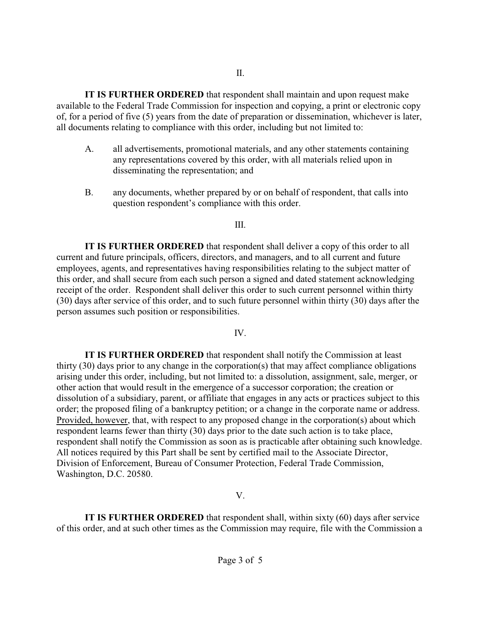**IT IS FURTHER ORDERED** that respondent shall maintain and upon request make available to the Federal Trade Commission for inspection and copying, a print or electronic copy of, for a period of five (5) years from the date of preparation or dissemination, whichever is later, all documents relating to compliance with this order, including but not limited to:

- A. all advertisements, promotional materials, and any other statements containing any representations covered by this order, with all materials relied upon in disseminating the representation; and
- B. any documents, whether prepared by or on behalf of respondent, that calls into question respondent's compliance with this order.

### III.

**IT IS FURTHER ORDERED** that respondent shall deliver a copy of this order to all current and future principals, officers, directors, and managers, and to all current and future employees, agents, and representatives having responsibilities relating to the subject matter of this order, and shall secure from each such person a signed and dated statement acknowledging receipt of the order. Respondent shall deliver this order to such current personnel within thirty (30) days after service of this order, and to such future personnel within thirty (30) days after the person assumes such position or responsibilities.

### IV.

**IT IS FURTHER ORDERED** that respondent shall notify the Commission at least thirty (30) days prior to any change in the corporation(s) that may affect compliance obligations arising under this order, including, but not limited to: a dissolution, assignment, sale, merger, or other action that would result in the emergence of a successor corporation; the creation or dissolution of a subsidiary, parent, or affiliate that engages in any acts or practices subject to this order; the proposed filing of a bankruptcy petition; or a change in the corporate name or address. Provided, however, that, with respect to any proposed change in the corporation(s) about which respondent learns fewer than thirty (30) days prior to the date such action is to take place, respondent shall notify the Commission as soon as is practicable after obtaining such knowledge. All notices required by this Part shall be sent by certified mail to the Associate Director, Division of Enforcement, Bureau of Consumer Protection, Federal Trade Commission, Washington, D.C. 20580.

### V.

**IT IS FURTHER ORDERED** that respondent shall, within sixty (60) days after service of this order, and at such other times as the Commission may require, file with the Commission a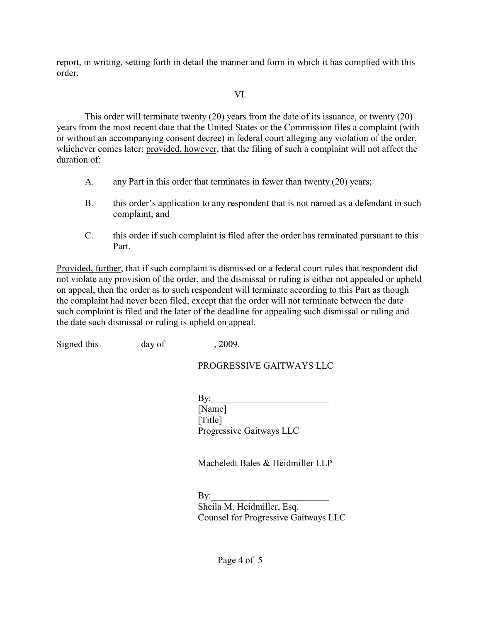report, in writing, setting forth in detail the manner and form in which it has complied with this order.

## VI.

This order will terminate twenty (20) years from the date of its issuance, or twenty (20) years from the most recent date that the United States or the Commission files a complaint (with or without an accompanying consent decree) in federal court alleging any violation of the order, whichever comes later; provided, however, that the filing of such a complaint will not affect the duration of:

- A. any Part in this order that terminates in fewer than twenty (20) years;
- B. this order's application to any respondent that is not named as a defendant in such complaint; and
- C. this order if such complaint is filed after the order has terminated pursuant to this Part.

Provided, further, that if such complaint is dismissed or a federal court rules that respondent did not violate any provision of the order, and the dismissal or ruling is either not appealed or upheld on appeal, then the order as to such respondent will terminate according to this Part as though the complaint had never been filed, except that the order will not terminate between the date such complaint is filed and the later of the deadline for appealing such dismissal or ruling and the date such dismissal or ruling is upheld on appeal.

Signed this day of  $\qquad \qquad$ , 2009.

# PROGRESSIVE GAITWAYS LLC

 $Bv:$ [Name] [Title] Progressive Gaitways LLC

Macheledt Bales & Heidmiller LLP

By:\_\_\_\_\_\_\_\_\_\_\_\_\_\_\_\_\_\_\_\_\_\_\_\_\_ Sheila M. Heidmiller, Esq. Counsel for Progressive Gaitways LLC